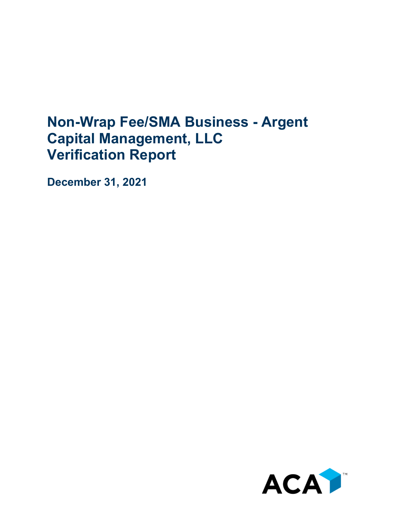## **Non-Wrap Fee/SMA Business - Argent Capital Management, LLC Verification Report**

**December 31, 2021**

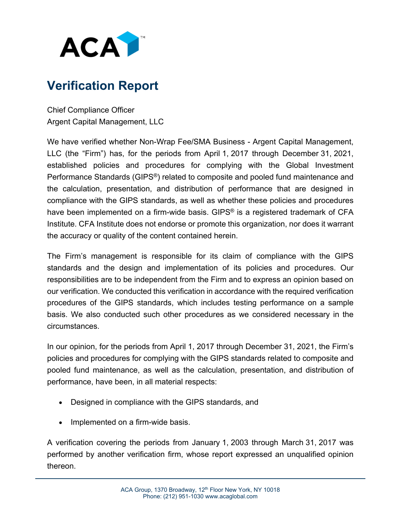

## **Verification Report**

Chief Compliance Officer Argent Capital Management, LLC

We have verified whether Non-Wrap Fee/SMA Business - Argent Capital Management, LLC (the "Firm") has, for the periods from April 1, 2017 through December 31, 2021, established policies and procedures for complying with the Global Investment Performance Standards (GIPS®) related to composite and pooled fund maintenance and the calculation, presentation, and distribution of performance that are designed in compliance with the GIPS standards, as well as whether these policies and procedures have been implemented on a firm-wide basis. GIPS<sup>®</sup> is a registered trademark of CFA Institute. CFA Institute does not endorse or promote this organization, nor does it warrant the accuracy or quality of the content contained herein.

The Firm's management is responsible for its claim of compliance with the GIPS standards and the design and implementation of its policies and procedures. Our responsibilities are to be independent from the Firm and to express an opinion based on our verification. We conducted this verification in accordance with the required verification procedures of the GIPS standards, which includes testing performance on a sample basis. We also conducted such other procedures as we considered necessary in the circumstances.

In our opinion, for the periods from April 1, 2017 through December 31, 2021, the Firm's policies and procedures for complying with the GIPS standards related to composite and pooled fund maintenance, as well as the calculation, presentation, and distribution of performance, have been, in all material respects:

- Designed in compliance with the GIPS standards, and
- Implemented on a firm-wide basis.

A verification covering the periods from January 1, 2003 through March 31, 2017 was performed by another verification firm, whose report expressed an unqualified opinion thereon.